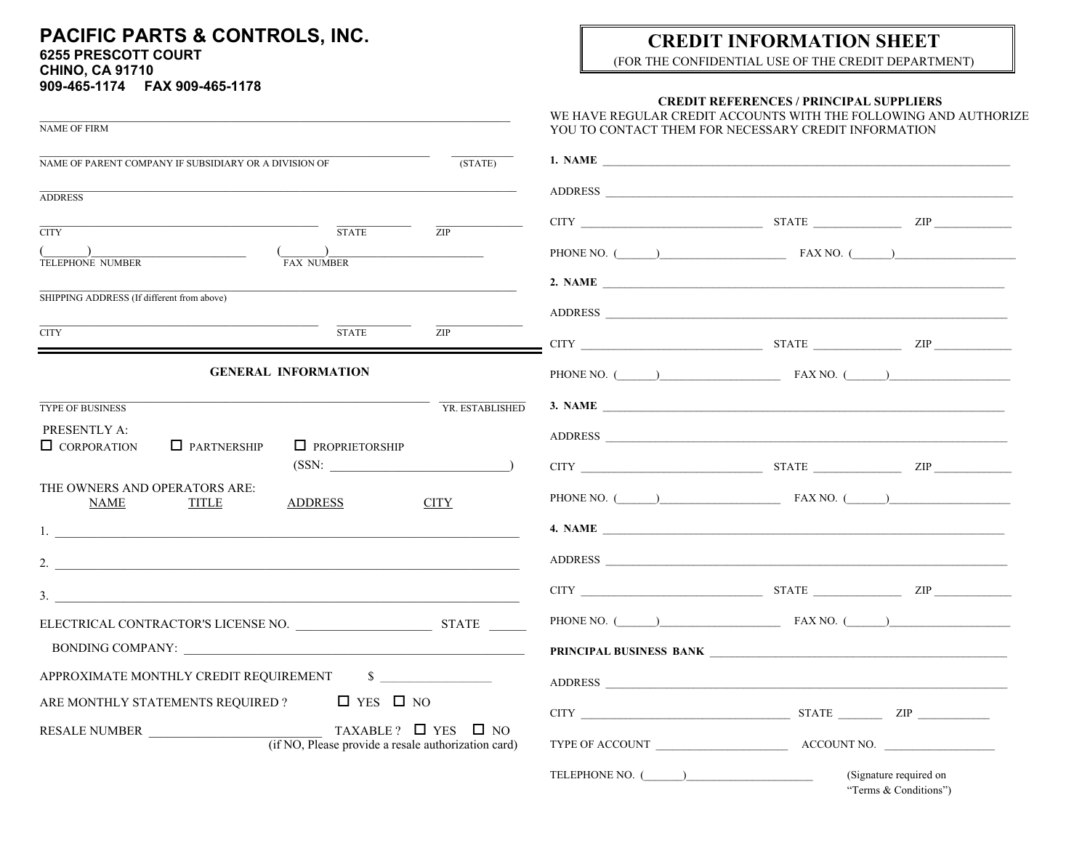### PACIFIC PARTS & CONTROLS, INC. **6255 PRESCOTT COURT CHINO, CA 91710**

## 909-465-1174 FAX 909-465-1178

# **CREDIT INFORMATION SHEET**

(FOR THE CONFIDENTIAL USE OF THE CREDIT DEPARTMENT)

### **CREDIT REFERENCES / PRINCIPAL SUPPLIERS**

| <b>NAME OF FIRM</b>                                                                                   |                 | WE HAVE REGULAR CREDIT ACCOUNTS WITH THE FOLLOWING AND AUTHORIZE<br>YOU TO CONTACT THEM FOR NECESSARY CREDIT INFORMATION                                                                                                       |  |  |
|-------------------------------------------------------------------------------------------------------|-----------------|--------------------------------------------------------------------------------------------------------------------------------------------------------------------------------------------------------------------------------|--|--|
| NAME OF PARENT COMPANY IF SUBSIDIARY OR A DIVISION OF                                                 | (STATE)         | 1. NAME                                                                                                                                                                                                                        |  |  |
|                                                                                                       |                 |                                                                                                                                                                                                                                |  |  |
| <b>ADDRESS</b>                                                                                        |                 | ADDRESS                                                                                                                                                                                                                        |  |  |
| <b>STATE</b><br><b>CITY</b>                                                                           | ZIP             | $CITY$ $ZIP$                                                                                                                                                                                                                   |  |  |
| <b>TELEPHONE NUMBER</b><br><b>FAX NUMBER</b>                                                          |                 | PHONE NO. $\qquad \qquad$ FAX NO. $\qquad \qquad$                                                                                                                                                                              |  |  |
|                                                                                                       |                 | 2. NAME $\overline{\phantom{a}}$                                                                                                                                                                                               |  |  |
| SHIPPING ADDRESS (If different from above)                                                            |                 | ADDRESS                                                                                                                                                                                                                        |  |  |
| <b>STATE</b><br><b>CITY</b>                                                                           | ZIP             | $CITY$ $ZIP$                                                                                                                                                                                                                   |  |  |
| <b>GENERAL INFORMATION</b>                                                                            |                 | PHONE NO. $(\_\_\_\_\_\_$ FAX NO. $(\_\_\_\_\_\_$                                                                                                                                                                              |  |  |
| <b>TYPE OF BUSINESS</b>                                                                               | YR. ESTABLISHED |                                                                                                                                                                                                                                |  |  |
| PRESENTLY A:                                                                                          |                 | ADDRESS                                                                                                                                                                                                                        |  |  |
| $\Box$ CORPORATION<br>$\Box$ PARTNERSHIP<br>$\Box$ PROPRIETORSHIP<br>(SSN:                            |                 | $CITY$ $ZIP$                                                                                                                                                                                                                   |  |  |
| THE OWNERS AND OPERATORS ARE:<br>NAME<br>TITLE<br><b>ADDRESS</b>                                      | <b>CITY</b>     | PHONE NO. ( ) FAX NO. ( )                                                                                                                                                                                                      |  |  |
|                                                                                                       |                 |                                                                                                                                                                                                                                |  |  |
|                                                                                                       |                 | ADDRESS                                                                                                                                                                                                                        |  |  |
| $\frac{1}{2}$                                                                                         |                 | CITY THE CITY CITY CITY                                                                                                                                                                                                        |  |  |
|                                                                                                       |                 | PHONE NO. ( ) FAX NO. ( )                                                                                                                                                                                                      |  |  |
|                                                                                                       |                 | PRINCIPAL BUSINESS BANK NAME OF THE SERIES OF THE SERIES OF THE SERIES OF THE SERIES OF THE SERIES OF THE SERIES OF THE SERIES OF THE SERIES OF THE SERIES OF THE SERIES OF THE SERIES OF THE SERIES OF THE SERIES OF THE SERI |  |  |
| APPROXIMATE MONTHLY CREDIT REQUIREMENT \$                                                             |                 | ADDRESS                                                                                                                                                                                                                        |  |  |
| ARE MONTHLY STATEMENTS REQUIRED ? $\Box$ YES $\Box$ NO                                                |                 | CITY ZIP                                                                                                                                                                                                                       |  |  |
| TAXABLE? $\Box$ YES $\Box$ NO<br>RESALE NUMBER<br>(if NO, Please provide a resale authorization card) |                 | TYPE OF ACCOUNT LEADER ACCOUNT NO.                                                                                                                                                                                             |  |  |

TELEPHONE NO. () (Signature required on

"Terms & Conditions")